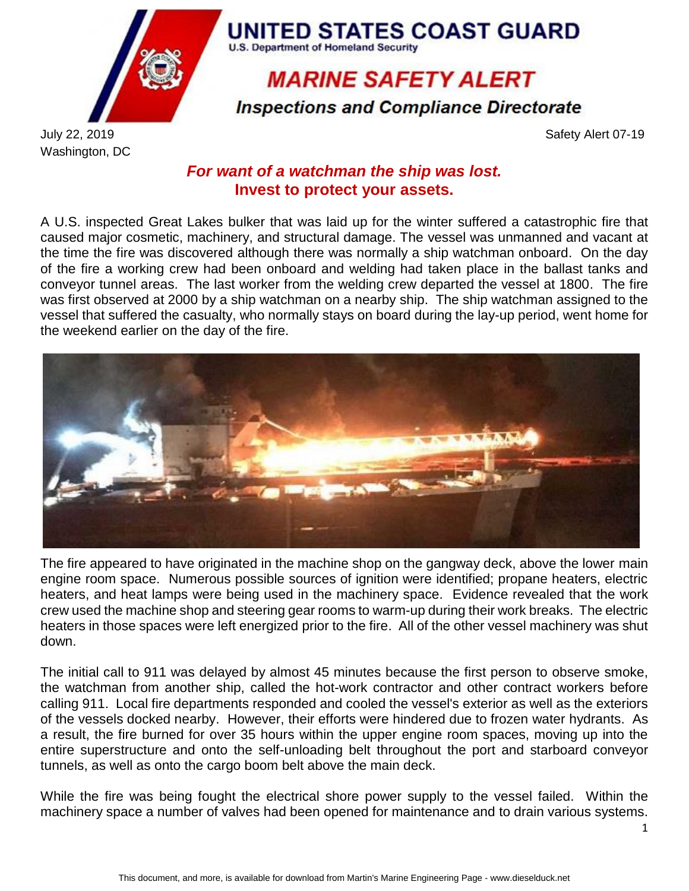

**U.S. Department of Homeland Security MARINE SAFETY ALERT** 

**UNITED STATES COAST GUARD** 

**Inspections and Compliance Directorate** 

Washington, DC

July 22, 2019 Safety Alert 07-19

## *For want of a watchman the ship was lost.* **Invest to protect your assets.**

A U.S. inspected Great Lakes bulker that was laid up for the winter suffered a catastrophic fire that caused major cosmetic, machinery, and structural damage. The vessel was unmanned and vacant at the time the fire was discovered although there was normally a ship watchman onboard. On the day of the fire a working crew had been onboard and welding had taken place in the ballast tanks and conveyor tunnel areas. The last worker from the welding crew departed the vessel at 1800. The fire was first observed at 2000 by a ship watchman on a nearby ship. The ship watchman assigned to the vessel that suffered the casualty, who normally stays on board during the lay-up period, went home for the weekend earlier on the day of the fire.



The fire appeared to have originated in the machine shop on the gangway deck, above the lower main engine room space. Numerous possible sources of ignition were identified; propane heaters, electric heaters, and heat lamps were being used in the machinery space. Evidence revealed that the work crew used the machine shop and steering gear rooms to warm-up during their work breaks. The electric heaters in those spaces were left energized prior to the fire. All of the other vessel machinery was shut down.

The initial call to 911 was delayed by almost 45 minutes because the first person to observe smoke, the watchman from another ship, called the hot-work contractor and other contract workers before calling 911. Local fire departments responded and cooled the vessel's exterior as well as the exteriors of the vessels docked nearby. However, their efforts were hindered due to frozen water hydrants. As a result, the fire burned for over 35 hours within the upper engine room spaces, moving up into the entire superstructure and onto the self-unloading belt throughout the port and starboard conveyor tunnels, as well as onto the cargo boom belt above the main deck.

While the fire was being fought the electrical shore power supply to the vessel failed. Within the machinery space a number of valves had been opened for maintenance and to drain various systems.